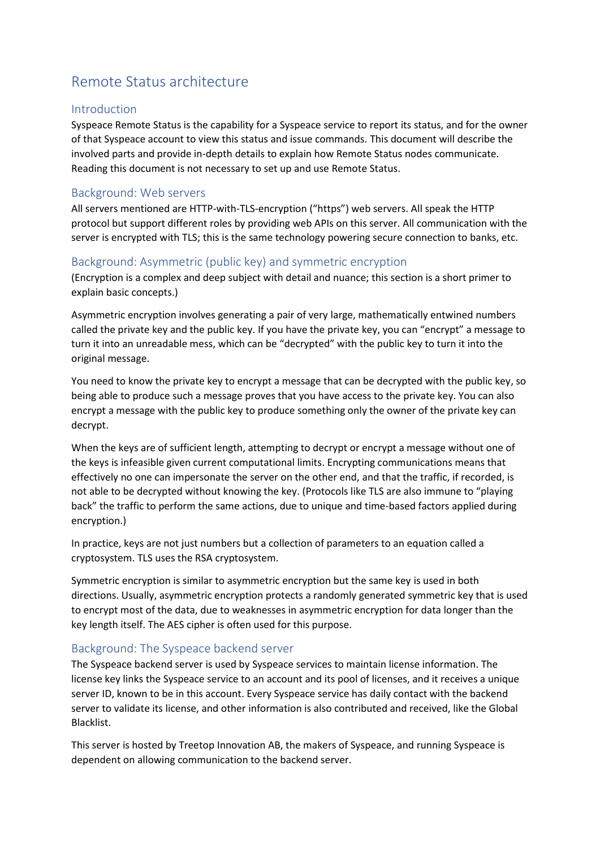# Remote Status architecture

## Introduction

Syspeace Remote Status is the capability for a Syspeace service to report its status, and for the owner of that Syspeace account to view this status and issue commands. This document will describe the involved parts and provide in-depth details to explain how Remote Status nodes communicate. Reading this document is not necessary to set up and use Remote Status.

## Background: Web servers

All servers mentioned are HTTP-with-TLS-encryption ("https") web servers. All speak the HTTP protocol but support different roles by providing web APIs on this server. All communication with the server is encrypted with TLS; this is the same technology powering secure connection to banks, etc.

# Background: Asymmetric (public key) and symmetric encryption

(Encryption is a complex and deep subject with detail and nuance; this section is a short primer to explain basic concepts.)

Asymmetric encryption involves generating a pair of very large, mathematically entwined numbers called the private key and the public key. If you have the private key, you can "encrypt" a message to turn it into an unreadable mess, which can be "decrypted" with the public key to turn it into the original message.

You need to know the private key to encrypt a message that can be decrypted with the public key, so being able to produce such a message proves that you have access to the private key. You can also encrypt a message with the public key to produce something only the owner of the private key can decrypt.

When the keys are of sufficient length, attempting to decrypt or encrypt a message without one of the keys is infeasible given current computational limits. Encrypting communications means that effectively no one can impersonate the server on the other end, and that the traffic, if recorded, is not able to be decrypted without knowing the key. (Protocols like TLS are also immune to "playing back" the traffic to perform the same actions, due to unique and time-based factors applied during encryption.)

In practice, keys are not just numbers but a collection of parameters to an equation called a cryptosystem. TLS uses the RSA cryptosystem.

Symmetric encryption is similar to asymmetric encryption but the same key is used in both directions. Usually, asymmetric encryption protects a randomly generated symmetric key that is used to encrypt most of the data, due to weaknesses in asymmetric encryption for data longer than the key length itself. The AES cipher is often used for this purpose.

## Background: The Syspeace backend server

The Syspeace backend server is used by Syspeace services to maintain license information. The license key links the Syspeace service to an account and its pool of licenses, and it receives a unique server ID, known to be in this account. Every Syspeace service has daily contact with the backend server to validate its license, and other information is also contributed and received, like the Global Blacklist.

This server is hosted by Treetop Innovation AB, the makers of Syspeace, and running Syspeace is dependent on allowing communication to the backend server.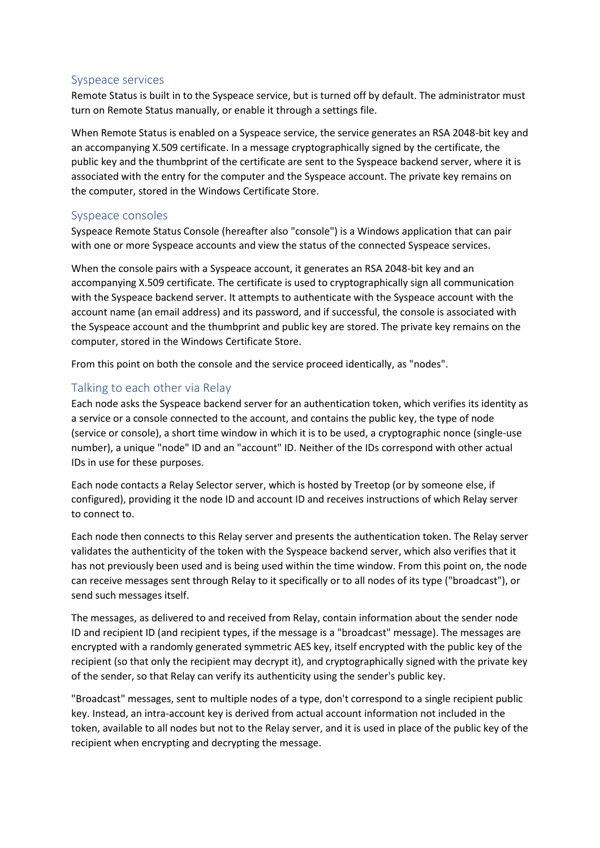### Syspeace services

Remote Status is built in to the Syspeace service, but is turned off by default. The administrator must turn on Remote Status manually, or enable it through a settings file.

When Remote Status is enabled on a Syspeace service, the service generates an RSA 2048-bit key and an accompanying X.509 certificate. In a message cryptographically signed by the certificate, the public key and the thumbprint of the certificate are sent to the Syspeace backend server, where it is associated with the entry for the computer and the Syspeace account. The private key remains on the computer, stored in the Windows Certificate Store.

### Syspeace consoles

Syspeace Remote Status Console (hereafter also "console") is a Windows application that can pair with one or more Syspeace accounts and view the status of the connected Syspeace services.

When the console pairs with a Syspeace account, it generates an RSA 2048-bit key and an accompanying X.509 certificate. The certificate is used to cryptographically sign all communication with the Syspeace backend server. It attempts to authenticate with the Syspeace account with the account name (an email address) and its password, and if successful, the console is associated with the Syspeace account and the thumbprint and public key are stored. The private key remains on the computer, stored in the Windows Certificate Store.

From this point on both the console and the service proceed identically, as "nodes".

## Talking to each other via Relay

Each node asks the Syspeace backend server for an authentication token, which verifies its identity as a service or a console connected to the account, and contains the public key, the type of node (service or console), a short time window in which it is to be used, a cryptographic nonce (single-use number), a unique "node" ID and an "account" ID. Neither of the IDs correspond with other actual IDs in use for these purposes.

Each node contacts a Relay Selector server, which is hosted by Treetop (or by someone else, if configured), providing it the node ID and account ID and receives instructions of which Relay server to connect to.

Each node then connects to this Relay server and presents the authentication token. The Relay server validates the authenticity of the token with the Syspeace backend server, which also verifies that it has not previously been used and is being used within the time window. From this point on, the node can receive messages sent through Relay to it specifically or to all nodes of its type ("broadcast"), or send such messages itself.

The messages, as delivered to and received from Relay, contain information about the sender node ID and recipient ID (and recipient types, if the message is a "broadcast" message). The messages are encrypted with a randomly generated symmetric AES key, itself encrypted with the public key of the recipient (so that only the recipient may decrypt it), and cryptographically signed with the private key of the sender, so that Relay can verify its authenticity using the sender's public key.

"Broadcast" messages, sent to multiple nodes of a type, don't correspond to a single recipient public key. Instead, an intra-account key is derived from actual account information not included in the token, available to all nodes but not to the Relay server, and it is used in place of the public key of the recipient when encrypting and decrypting the message.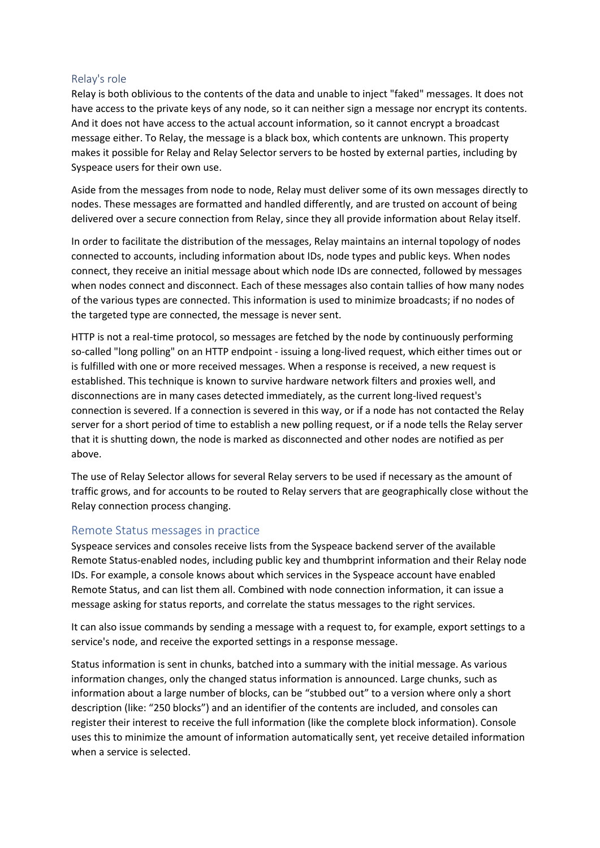#### Relay's role

Relay is both oblivious to the contents of the data and unable to inject "faked" messages. It does not have access to the private keys of any node, so it can neither sign a message nor encrypt its contents. And it does not have access to the actual account information, so it cannot encrypt a broadcast message either. To Relay, the message is a black box, which contents are unknown. This property makes it possible for Relay and Relay Selector servers to be hosted by external parties, including by Syspeace users for their own use.

Aside from the messages from node to node, Relay must deliver some of its own messages directly to nodes. These messages are formatted and handled differently, and are trusted on account of being delivered over a secure connection from Relay, since they all provide information about Relay itself.

In order to facilitate the distribution of the messages, Relay maintains an internal topology of nodes connected to accounts, including information about IDs, node types and public keys. When nodes connect, they receive an initial message about which node IDs are connected, followed by messages when nodes connect and disconnect. Each of these messages also contain tallies of how many nodes of the various types are connected. This information is used to minimize broadcasts; if no nodes of the targeted type are connected, the message is never sent.

HTTP is not a real-time protocol, so messages are fetched by the node by continuously performing so-called "long polling" on an HTTP endpoint - issuing a long-lived request, which either times out or is fulfilled with one or more received messages. When a response is received, a new request is established. This technique is known to survive hardware network filters and proxies well, and disconnections are in many cases detected immediately, as the current long-lived request's connection is severed. If a connection is severed in this way, or if a node has not contacted the Relay server for a short period of time to establish a new polling request, or if a node tells the Relay server that it is shutting down, the node is marked as disconnected and other nodes are notified as per above.

The use of Relay Selector allows for several Relay servers to be used if necessary as the amount of traffic grows, and for accounts to be routed to Relay servers that are geographically close without the Relay connection process changing.

#### Remote Status messages in practice

Syspeace services and consoles receive lists from the Syspeace backend server of the available Remote Status-enabled nodes, including public key and thumbprint information and their Relay node IDs. For example, a console knows about which services in the Syspeace account have enabled Remote Status, and can list them all. Combined with node connection information, it can issue a message asking for status reports, and correlate the status messages to the right services.

It can also issue commands by sending a message with a request to, for example, export settings to a service's node, and receive the exported settings in a response message.

Status information is sent in chunks, batched into a summary with the initial message. As various information changes, only the changed status information is announced. Large chunks, such as information about a large number of blocks, can be "stubbed out" to a version where only a short description (like: "250 blocks") and an identifier of the contents are included, and consoles can register their interest to receive the full information (like the complete block information). Console uses this to minimize the amount of information automatically sent, yet receive detailed information when a service is selected.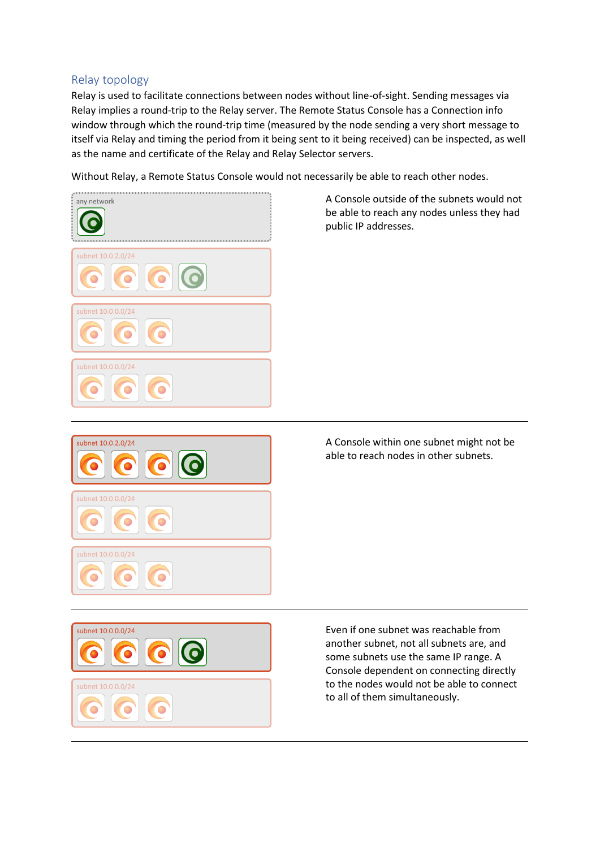## Relay topology

Relay is used to facilitate connections between nodes without line-of-sight. Sending messages via Relay implies a round-trip to the Relay server. The Remote Status Console has a Connection info window through which the round-trip time (measured by the node sending a very short message to itself via Relay and timing the period from it being sent to it being received) can be inspected, as well as the name and certificate of the Relay and Relay Selector servers.

Without Relay, a Remote Status Console would not necessarily be able to reach other nodes.



A Console outside of the subnets would not be able to reach any nodes unless they had public IP addresses.



A Console within one subnet might not be able to reach nodes in other subnets.



Even if one subnet was reachable from another subnet, not all subnets are, and some subnets use the same IP range. A Console dependent on connecting directly to the nodes would not be able to connect to all of them simultaneously.